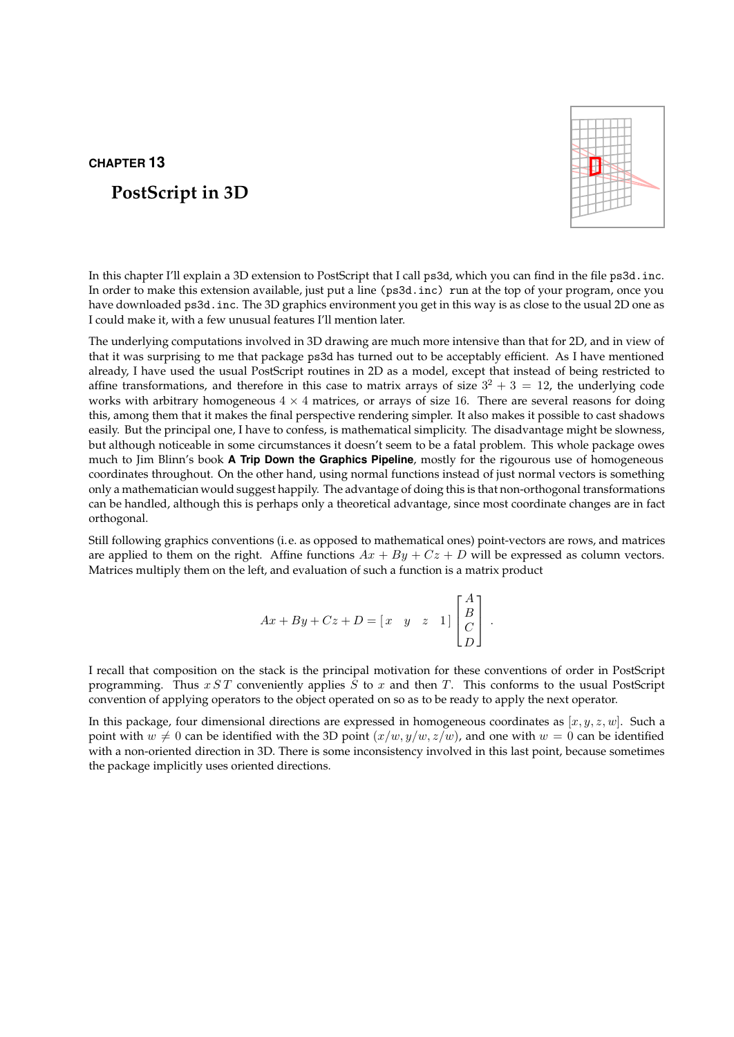# CHAPTER 13

# PostScript in 3D



In this chapter I'll explain a 3D extension to PostScript that I call ps3d, which you can find in the file ps3d.inc. In order to make this extension available, just put a line (ps3d.inc) run at the top of your program, once you have downloaded ps3d.inc. The 3D graphics environment you get in this way is as close to the usual 2D one as I could make it, with a few unusual features I'll mention later.

The underlying computations involved in 3D drawing are much more intensive than that for 2D, and in view of that it was surprising to me that package ps3d has turned out to be acceptably efficient. As I have mentioned already, I have used the usual PostScript routines in 2D as a model, except that instead of being restricted to affine transformations, and therefore in this case to matrix arrays of size  $3^2 + 3 = 12$ , the underlying code works with arbitrary homogeneous  $4 \times 4$  matrices, or arrays of size 16. There are several reasons for doing this, among them that it makes the final perspective rendering simpler. It also makes it possible to cast shadows easily. But the principal one, I have to confess, is mathematical simplicity. The disadvantage might be slowness, but although noticeable in some circumstances it doesn't seem to be a fatal problem. This whole package owes much to Jim Blinn's book A Trip Down the Graphics Pipeline, mostly for the rigourous use of homogeneous coordinates throughout. On the other hand, using normal functions instead of just normal vectors is something only a mathematician would suggest happily. The advantage of doing this is that non-orthogonal transformations can be handled, although this is perhaps only a theoretical advantage, since most coordinate changes are in fact orthogonal.

Still following graphics conventions (i.e. as opposed to mathematical ones) point-vectors are rows, and matrices are applied to them on the right. Affine functions  $Ax + By + Cz + D$  will be expressed as column vectors. Matrices multiply them on the left, and evaluation of such a function is a matrix product

$$
Ax + By + Cz + D = \begin{bmatrix} x & y & z & 1 \end{bmatrix} \begin{bmatrix} A \\ B \\ C \\ D \end{bmatrix}.
$$

I recall that composition on the stack is the principal motivation for these conventions of order in PostScript programming. Thus  $x ST$  conveniently applies  $S$  to  $x$  and then  $T$ . This conforms to the usual PostScript convention of applying operators to the object operated on so as to be ready to apply the next operator.

In this package, four dimensional directions are expressed in homogeneous coordinates as  $[x, y, z, w]$ . Such a point with  $w \neq 0$  can be identified with the 3D point  $(x/w, y/w, z/w)$ , and one with  $w = 0$  can be identified with a non-oriented direction in 3D. There is some inconsistency involved in this last point, because sometimes the package implicitly uses oriented directions.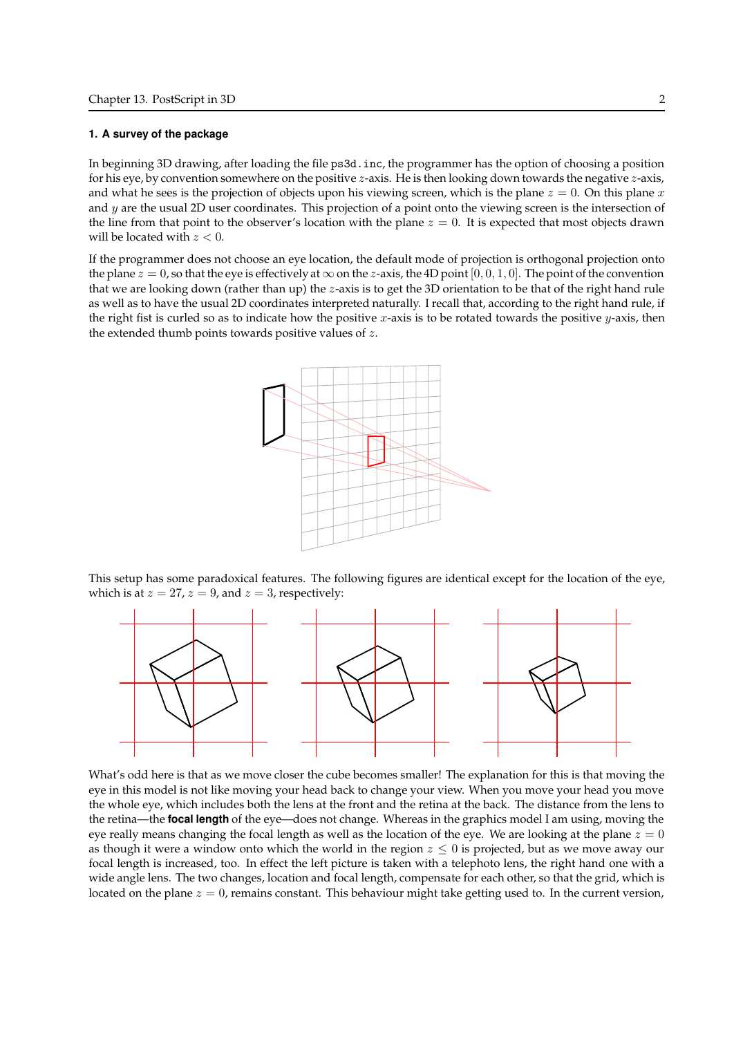#### 1. A survey of the package

In beginning 3D drawing, after loading the file ps3d.inc, the programmer has the option of choosing a position for his eye, by convention somewhere on the positive  $z$ -axis. He is then looking down towards the negative  $z$ -axis, and what he sees is the projection of objects upon his viewing screen, which is the plane  $z = 0$ . On this plane x and  $y$  are the usual 2D user coordinates. This projection of a point onto the viewing screen is the intersection of the line from that point to the observer's location with the plane  $z = 0$ . It is expected that most objects drawn will be located with  $z < 0$ .

If the programmer does not choose an eye location, the default mode of projection is orthogonal projection onto the plane  $z = 0$ , so that the eye is effectively at  $\infty$  on the z-axis, the 4D point [0, 0, 1, 0]. The point of the convention that we are looking down (rather than up) the z-axis is to get the 3D orientation to be that of the right hand rule as well as to have the usual 2D coordinates interpreted naturally. I recall that, according to the right hand rule, if the right fist is curled so as to indicate how the positive x-axis is to be rotated towards the positive  $y$ -axis, then the extended thumb points towards positive values of z.



This setup has some paradoxical features. The following figures are identical except for the location of the eye, which is at  $z = 27$ ,  $z = 9$ , and  $z = 3$ , respectively:



What's odd here is that as we move closer the cube becomes smaller! The explanation for this is that moving the eye in this model is not like moving your head back to change your view. When you move your head you move the whole eye, which includes both the lens at the front and the retina at the back. The distance from the lens to the retina—the **focal length** of the eye—does not change. Whereas in the graphics model I am using, moving the eye really means changing the focal length as well as the location of the eye. We are looking at the plane  $z = 0$ as though it were a window onto which the world in the region  $z \leq 0$  is projected, but as we move away our focal length is increased, too. In effect the left picture is taken with a telephoto lens, the right hand one with a wide angle lens. The two changes, location and focal length, compensate for each other, so that the grid, which is located on the plane  $z = 0$ , remains constant. This behaviour might take getting used to. In the current version,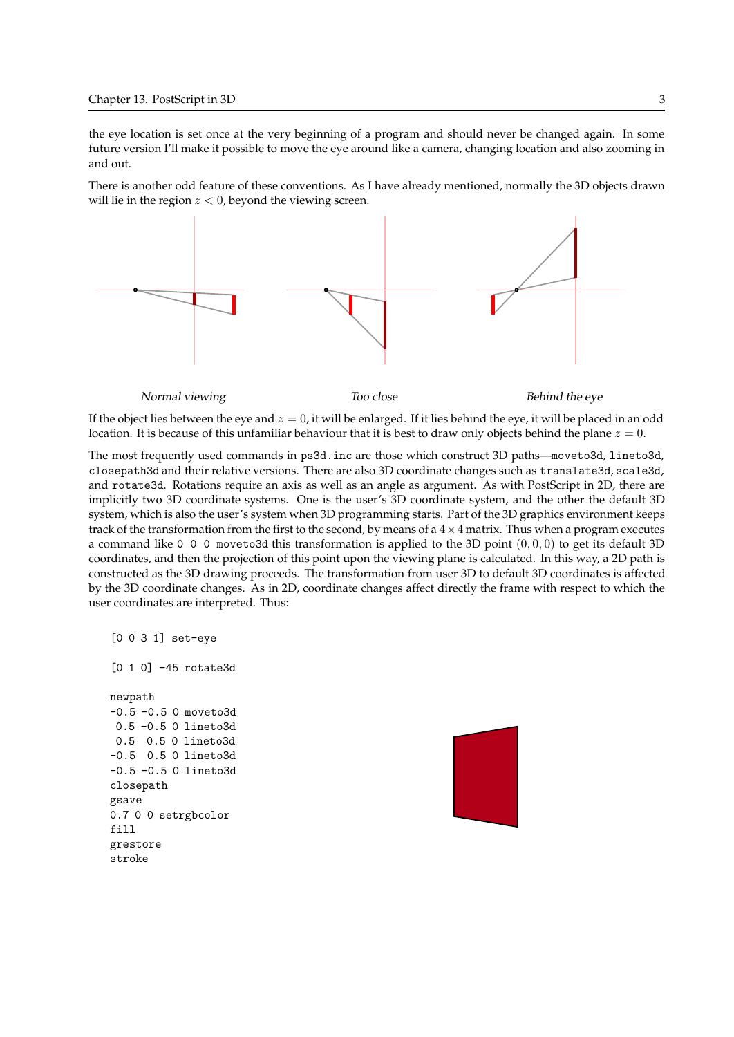the eye location is set once at the very beginning of a program and should never be changed again. In some future version I'll make it possible to move the eye around like a camera, changing location and also zooming in and out.

There is another odd feature of these conventions. As I have already mentioned, normally the 3D objects drawn will lie in the region  $z < 0$ , beyond the viewing screen.



If the object lies between the eye and  $z = 0$ , it will be enlarged. If it lies behind the eye, it will be placed in an odd location. It is because of this unfamiliar behaviour that it is best to draw only objects behind the plane  $z = 0$ .

The most frequently used commands in ps3d.inc are those which construct 3D paths—moveto3d, lineto3d, closepath3d and their relative versions. There are also 3D coordinate changes such as translate3d, scale3d, and rotate3d. Rotations require an axis as well as an angle as argument. As with PostScript in 2D, there are implicitly two 3D coordinate systems. One is the user's 3D coordinate system, and the other the default 3D system, which is also the user's system when 3D programming starts. Part of the 3D graphics environment keeps track of the transformation from the first to the second, by means of a  $4 \times 4$  matrix. Thus when a program executes a command like 0 0 0 moveto3d this transformation is applied to the 3D point  $(0, 0, 0)$  to get its default 3D coordinates, and then the projection of this point upon the viewing plane is calculated. In this way, a 2D path is constructed as the 3D drawing proceeds. The transformation from user 3D to default 3D coordinates is affected by the 3D coordinate changes. As in 2D, coordinate changes affect directly the frame with respect to which the user coordinates are interpreted. Thus:

```
[0 0 3 1] set-eye
[0 1 0] -45 rotate3d
newpath
-0.5 -0.5 0 moveto3d
0.5 -0.5 0 lineto3d
0.5 0.5 0 lineto3d
-0.5 0.5 0 lineto3d
-0.5 -0.5 0 lineto3d
closepath
gsave
0.7 0 0 setrgbcolor
fill
grestore
stroke
```
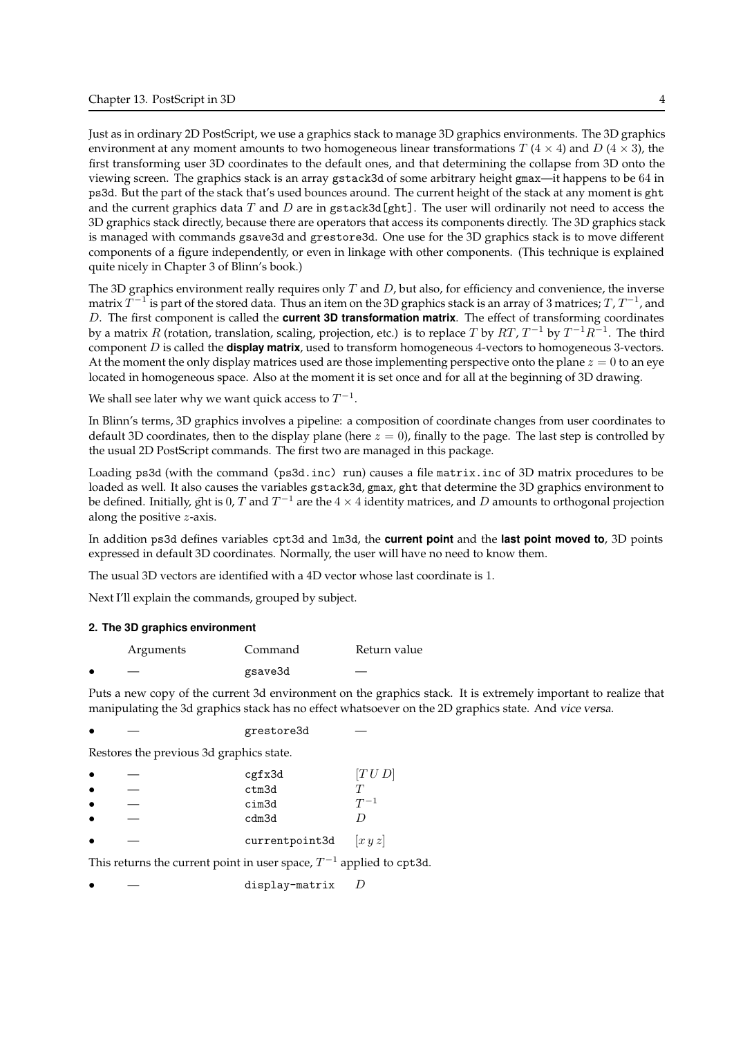Just as in ordinary 2D PostScript, we use a graphics stack to manage 3D graphics environments. The 3D graphics environment at any moment amounts to two homogeneous linear transformations T  $(4 \times 4)$  and D  $(4 \times 3)$ , the first transforming user 3D coordinates to the default ones, and that determining the collapse from 3D onto the viewing screen. The graphics stack is an array gstack3d of some arbitrary height gmax—it happens to be 64 in ps3d. But the part of the stack that's used bounces around. The current height of the stack at any moment is ght and the current graphics data  $T$  and  $D$  are in gstack3d [ght]. The user will ordinarily not need to access the 3D graphics stack directly, because there are operators that access its components directly. The 3D graphics stack is managed with commands gsave3d and grestore3d. One use for the 3D graphics stack is to move different components of a figure independently, or even in linkage with other components. (This technique is explained quite nicely in Chapter 3 of Blinn's book.)

The 3D graphics environment really requires only  $T$  and  $D$ , but also, for efficiency and convenience, the inverse matrix  $\widetilde{T}^{-1}$  is part of the stored data. Thus an item on the 3D graphics stack is an array of 3 matrices;  $T$  ,  $T^{-1}$  , and  $D$ . The first component is called the **current 3D transformation matrix**. The effect of transforming coordinates by a matrix  $R$  (rotation, translation, scaling, projection, etc.) is to replace  $T$  by  $RT$ ,  $T^{-1}$  by  $T^{-1}R^{-1}$ . The third component  $D$  is called the **display matrix**, used to transform homogeneous 4-vectors to homogeneous 3-vectors. At the moment the only display matrices used are those implementing perspective onto the plane  $z = 0$  to an eye located in homogeneous space. Also at the moment it is set once and for all at the beginning of 3D drawing.

We shall see later why we want quick access to  $T^{-1}.$ 

In Blinn's terms, 3D graphics involves a pipeline: a composition of coordinate changes from user coordinates to default 3D coordinates, then to the display plane (here  $z = 0$ ), finally to the page. The last step is controlled by the usual 2D PostScript commands. The first two are managed in this package.

Loading ps3d (with the command (ps3d.inc) run) causes a file matrix.inc of 3D matrix procedures to be loaded as well. It also causes the variables gstack3d, gmax, ght that determine the 3D graphics environment to be defined. Initially, ght is 0, T and  $T^{-1}$  are the  $4 \times 4$  identity matrices, and D amounts to orthogonal projection along the positive z-axis.

In addition ps3d defines variables cpt3d and 1m3d, the current point and the last point moved to, 3D points expressed in default 3D coordinates. Normally, the user will have no need to know them.

The usual 3D vectors are identified with a 4D vector whose last coordinate is 1.

Next I'll explain the commands, grouped by subject.

### 2. The 3D graphics environment

| Arguments | Command | Return value |
|-----------|---------|--------------|
|           | gsave3d |              |

Puts a new copy of the current 3d environment on the graphics stack. It is extremely important to realize that manipulating the 3d graphics stack has no effect whatsoever on the 2D graphics state. And vice versa.

|  | grestore3d |  |
|--|------------|--|
|--|------------|--|

Restores the previous 3d graphics state.

|                                                                          | cgfx3d         | [T U D]  |
|--------------------------------------------------------------------------|----------------|----------|
|                                                                          | ctm3d          |          |
|                                                                          | cim3d          | $T^{-1}$ |
|                                                                          | cdm3d          |          |
|                                                                          | currentpoint3d | xyz      |
| This returns the current point in user space, $T^{-1}$ applied to cpt3d. |                |          |

display-matrix  $D$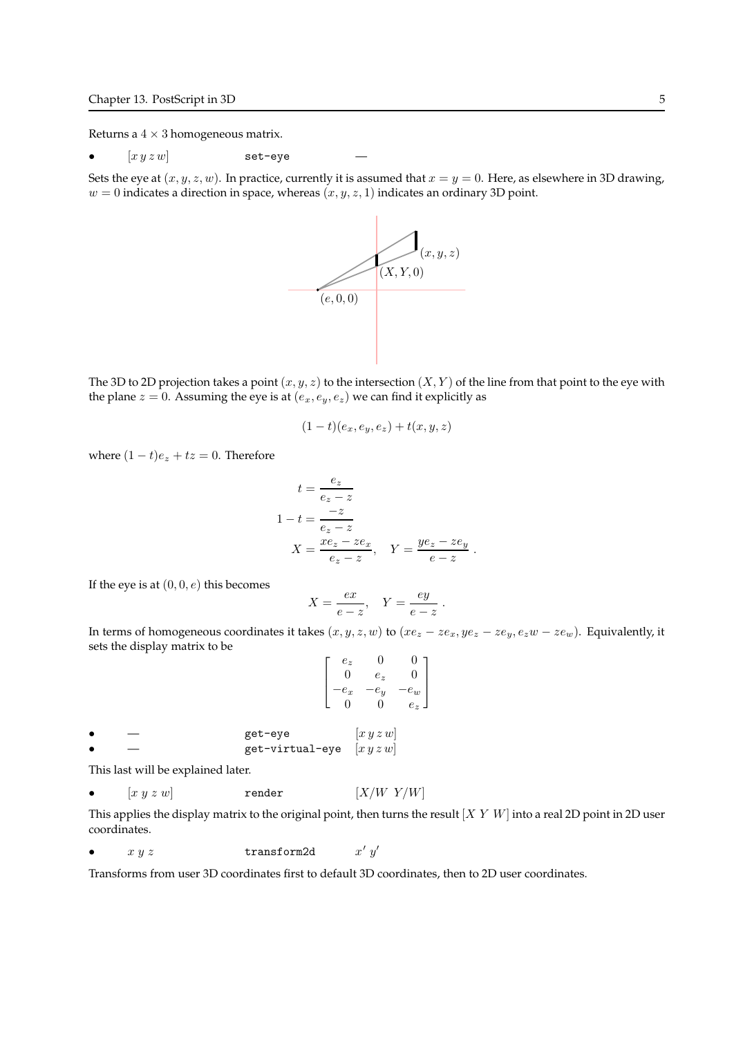Returns a  $4 \times 3$  homogeneous matrix.

•  $[x y z w]$  set-eye

Sets the eye at  $(x, y, z, w)$ . In practice, currently it is assumed that  $x = y = 0$ . Here, as elsewhere in 3D drawing,  $w = 0$  indicates a direction in space, whereas  $(x, y, z, 1)$  indicates an ordinary 3D point.



The 3D to 2D projection takes a point  $(x, y, z)$  to the intersection  $(X, Y)$  of the line from that point to the eye with the plane  $z = 0$ . Assuming the eye is at  $(e_x, e_y, e_z)$  we can find it explicitly as

$$
(1-t)(e_x,e_y,e_z)+t(x,y,z)
$$

where  $(1-t)e_z + tz = 0$ . Therefore

$$
t = \frac{e_z}{e_z - z}
$$
  
\n
$$
1 - t = \frac{-z}{e_z - z}
$$
  
\n
$$
X = \frac{xe_z - ze_x}{e_z - z}, \quad Y = \frac{ye_z - ze_y}{e - z}.
$$

If the eye is at  $(0, 0, e)$  this becomes

$$
X = \frac{ex}{e - z}, \quad Y = \frac{ey}{e - z}.
$$

In terms of homogeneous coordinates it takes  $(x, y, z, w)$  to  $(xe_z - ze_x, ye_z - ze_y, e_zw - ze_w)$ . Equivalently, it sets the display matrix to be

$$
\begin{bmatrix} e_z & 0 & 0 \ 0 & e_z & 0 \ -e_x & -e_y & -e_w \ 0 & 0 & e_z \end{bmatrix}
$$

get-eye  $[x y z w]$ get-virtual-eye  $[x y z w]$ 

This last will be explained later.

•  $[x y z w]$  render  $[X/W Y/W]$ 

This applies the display matrix to the original point, then turns the result  $[X Y W]$  into a real 2D point in 2D user coordinates.

•  $x y z$  transform2d  $\prime\ y'$ 

Transforms from user 3D coordinates first to default 3D coordinates, then to 2D user coordinates.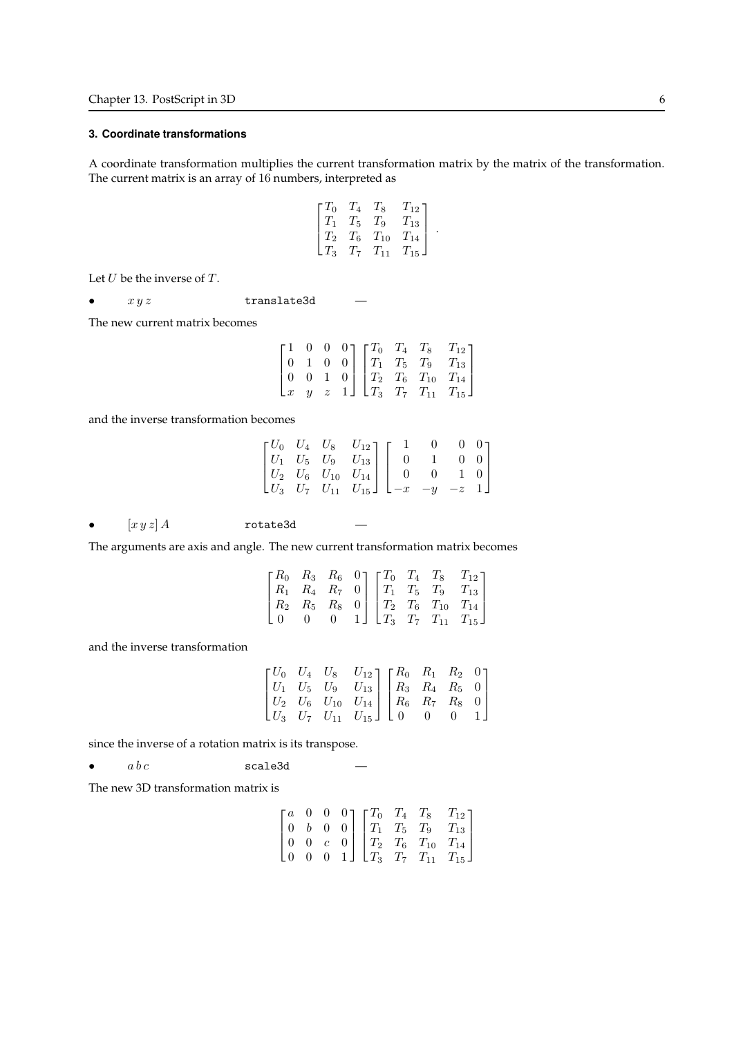# 3. Coordinate transformations

A coordinate transformation multiplies the current transformation matrix by the matrix of the transformation. The current matrix is an array of 16 numbers, interpreted as

$$
\begin{bmatrix} T_0 & T_4 & T_8 & T_{12} \\ T_1 & T_5 & T_9 & T_{13} \\ T_2 & T_6 & T_{10} & T_{14} \\ T_3 & T_7 & T_{11} & T_{15} \end{bmatrix}.
$$

Let  $U$  be the inverse of  $T$ .

•  $xyz$  translate3d

The new current matrix becomes

|                 |  |  |  | $\begin{bmatrix} 1 & 0 & 0 & 0 \\ 0 & 1 & 0 & 0 \end{bmatrix} \begin{bmatrix} T_0 & T_4 & T_8 & T_{12} \\ T_1 & T_5 & T_9 & T_{13} \end{bmatrix}$       |
|-----------------|--|--|--|---------------------------------------------------------------------------------------------------------------------------------------------------------|
| $(0 \t 0 \t 1)$ |  |  |  | $\begin{bmatrix} 0 & 0 & 1 & 0 \\ x & y & z & 1 \end{bmatrix} \begin{bmatrix} T_2 & T_6 & T_{10} & T_{14} \\ T_3 & T_7 & T_{11} & T_{15} \end{bmatrix}$ |
|                 |  |  |  |                                                                                                                                                         |

and the inverse transformation becomes

|  |                                                                                                                                                                                                |  | U U 1 |
|--|------------------------------------------------------------------------------------------------------------------------------------------------------------------------------------------------|--|-------|
|  |                                                                                                                                                                                                |  |       |
|  |                                                                                                                                                                                                |  |       |
|  | $\begin{bmatrix} U_0&U_4&U_8&U_{12}\\ U_1&U_5&U_9&U_{13}\\ U_2&U_6&U_{10}&U_{14}\\ U_3&U_7&U_{11}&U_{15} \end{bmatrix} \begin{bmatrix} 1&0&0&0\\ 0&1&0&0\\ 0&0&1&0\\ -x&-y&-z&1 \end{bmatrix}$ |  |       |

•  $\left[xyz\right]A$  rotate3d

The arguments are axis and angle. The new current transformation matrix becomes

|  |  |  | $\begin{bmatrix} R_0 & R_3 & R_6 & 0 \end{bmatrix} \begin{bmatrix} T_0 & T_4 & T_8 & T_{12} \end{bmatrix}$ |
|--|--|--|------------------------------------------------------------------------------------------------------------|
|  |  |  | $R_1$ $R_4$ $R_7$ 0 $T_1$ $T_5$ $T_9$ $T_{13}$                                                             |
|  |  |  | $R_2$ $R_5$ $R_8$ 0 $T_2$ $T_6$ $T_{10}$ $T_{14}$                                                          |
|  |  |  | 1 $\perp$ $T_3$ $T_7$ $T_{11}$ $T_{15}$ $\perp$                                                            |

and the inverse transformation

|  | $\begin{bmatrix} U_0 & U_4 & U_8 & U_{12} \\ U_1 & U_5 & U_9 & U_{13} \\ \end{bmatrix} \begin{bmatrix} R_0 & R_1 & R_2 & 0 \\ R_3 & R_4 & R_5 & 0 \\ \end{bmatrix}$ |  |  |
|--|---------------------------------------------------------------------------------------------------------------------------------------------------------------------|--|--|
|  | $\begin{bmatrix} U_2 & U_6 & U_{10} & U_{14} \ U_3 & U_7 & U_{11} & U_{15} \end{bmatrix} \begin{bmatrix} R_6 & R_7 & R_8 & 0 \ 0 & 0 & 0 & 1 \end{bmatrix}$         |  |  |
|  |                                                                                                                                                                     |  |  |

since the inverse of a rotation matrix is its transpose.

•  $abc$  scale3d

The new 3D transformation matrix is

|                  |          | $\begin{bmatrix} a & 0 & 0 & 0 \\ 0 & 0 & 0 & 0 \\ 0 & 0 & 0 & 0 \\ 0 & 0 & 0 & 0 \\ 0 & 0 & 0 & 0 \\ 0 & 0 & 0 & 0 \\ 0 & 0 & 0 & 0 \\ 0 & 0 & 0 & 0 \\ 0 & 0 & 0 & 0 & 0 \\ 0 & 0 & 0 & 0 & 0 \\ 0 & 0 & 0 & 0 & 0 \\ 0 & 0 & 0 & 0 & 0 & 0 \\ 0 & 0 & 0 & 0 & 0 & 0 \\ 0 & 0 & 0 & 0 & 0 & 0 \\ 0 & 0 & 0 & 0 & 0 & 0 \\ 0$ |  | $T_{12}$                         |
|------------------|----------|--------------------------------------------------------------------------------------------------------------------------------------------------------------------------------------------------------------------------------------------------------------------------------------------------------------------------------|--|----------------------------------|
| $\boldsymbol{b}$ | $\theta$ |                                                                                                                                                                                                                                                                                                                                |  | $0$   $T_1$ $T_5$ $T_9$ $T_{13}$ |
| $\overline{0}$   |          |                                                                                                                                                                                                                                                                                                                                |  | $0   T_2 T_6 T_{10} T_{14}  $    |
| $\overline{0}$   |          |                                                                                                                                                                                                                                                                                                                                |  | 1 $T_3$ $T_7$ $T_{11}$ $T_{15}$  |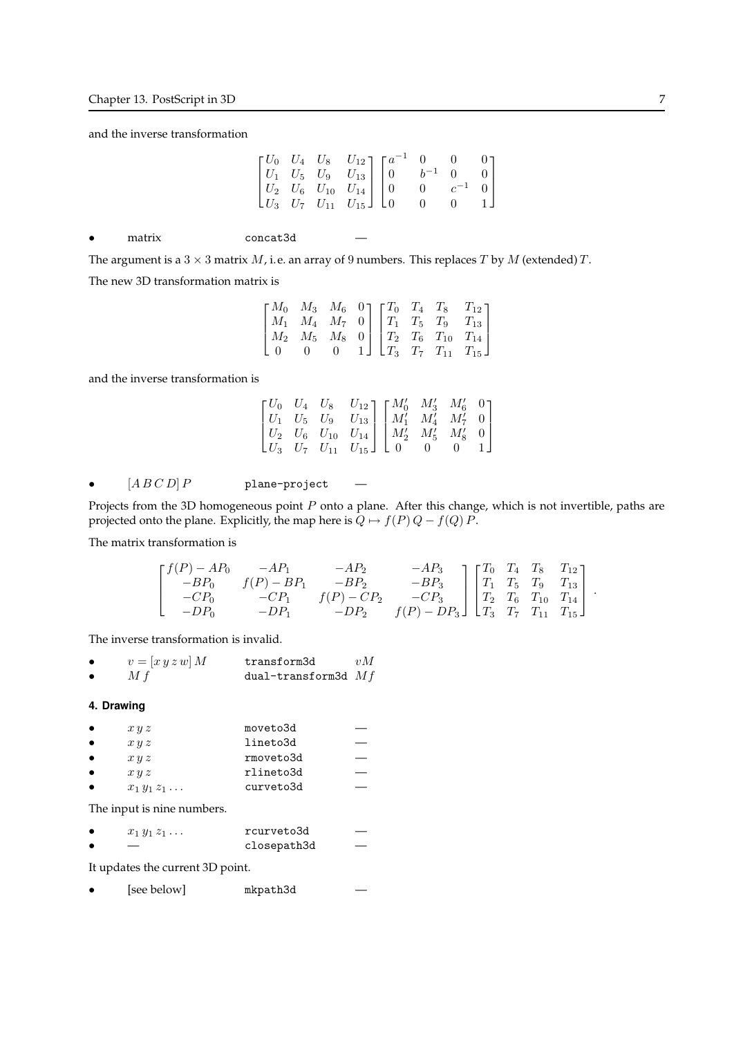and the inverse transformation

|           |                                                                                                         | $\begin{bmatrix} U_0 & U_4 & U_8 & U_{12} \\ U_1 & U_5 & U_9 & U_{13} \\ U_2 & U_6 & U_{10} & U_{14} \\ U_3 & U_7 & U_{11} & U_{15} \end{bmatrix} \begin{bmatrix} a^{-1} & 0 & 0 & 0 \\ 0 & b^{-1} & 0 & 0 \\ 0 & 0 & c^{-1} & 0 \\ 0 & 0 & 0 & 1 \end{bmatrix}$ |  |                                                                                                            |  |  |
|-----------|---------------------------------------------------------------------------------------------------------|------------------------------------------------------------------------------------------------------------------------------------------------------------------------------------------------------------------------------------------------------------------|--|------------------------------------------------------------------------------------------------------------|--|--|
| $\bullet$ | matrix                                                                                                  | concat3d                                                                                                                                                                                                                                                         |  |                                                                                                            |  |  |
|           | The argument is a $3 \times 3$ matrix M, i.e. an array of 9 numbers. This replaces T by M (extended) T. |                                                                                                                                                                                                                                                                  |  |                                                                                                            |  |  |
|           | The new 3D transformation matrix is                                                                     |                                                                                                                                                                                                                                                                  |  |                                                                                                            |  |  |
|           |                                                                                                         |                                                                                                                                                                                                                                                                  |  | $\begin{bmatrix} M_0 & M_3 & M_6 & 0 \end{bmatrix} \begin{bmatrix} T_0 & T_4 & T_8 & T_{12} \end{bmatrix}$ |  |  |

| $\begin{bmatrix} M_0 & M_3 & M_6 & 0 \end{bmatrix} \begin{bmatrix} T_0 & T_4 & T_8 & T_{12} \end{bmatrix}$ |  |  |  |                                                                                                                 |  |
|------------------------------------------------------------------------------------------------------------|--|--|--|-----------------------------------------------------------------------------------------------------------------|--|
|                                                                                                            |  |  |  | $\begin{vmatrix} M_1 & M_4 & M_7 & 0 \end{vmatrix}$ $\begin{vmatrix} T_1 & T_5 & T_9 & T_{13} \end{vmatrix}$    |  |
|                                                                                                            |  |  |  | $\begin{vmatrix} M_2 & M_5 & M_8 & 0 \end{vmatrix}$ $\begin{vmatrix} T_2 & T_6 & T_{10} & T_{14} \end{vmatrix}$ |  |
|                                                                                                            |  |  |  | 1 $\Box$ $T_3$ $T_7$ $T_{11}$ $T_{15}$ $\Box$                                                                   |  |

and the inverse transformation is

|  | $\begin{bmatrix} U_0 & U_4 & U_8 & U_{12} \\ U_1 & U_5 & U_9 & U_{13} \\ U_2 & U_6 & U_{10} & U_{14} \\ U_3 & U_7 & U_{11} & U_{15} \end{bmatrix} \begin{bmatrix} M_0' & M_3' & M_6' & 0 \\ M_1' & M_4' & M_7' & 0 \\ M_2' & M_5' & M_8' & 0 \\ 0 & 0 & 0 & 1 \end{bmatrix}$ |  |  |
|--|------------------------------------------------------------------------------------------------------------------------------------------------------------------------------------------------------------------------------------------------------------------------------|--|--|
|  |                                                                                                                                                                                                                                                                              |  |  |
|  |                                                                                                                                                                                                                                                                              |  |  |

•  $[A \, B \, C \, D] \, P$  plane-project —

Projects from the 3D homogeneous point  $P$  onto a plane. After this change, which is not invertible, paths are projected onto the plane. Explicitly, the map here is  $Q \mapsto f(P) Q - f(Q) P$ .

The matrix transformation is

$$
\begin{bmatrix} f(P) - AP_0 & -AP_1 & -AP_2 & -AP_3 \ -BP_0 & f(P) - BP_1 & -BP_2 & -BP_3 \ -CP_0 & -CP_1 & f(P) - CP_2 & -CP_3 \ -DP_0 & -DP_1 & -DP_2 & f(P) - DP_3 \end{bmatrix} \begin{bmatrix} T_0 & T_4 & T_8 & T_{12} \ T_1 & T_5 & T_9 & T_{13} \ T_2 & T_6 & T_{10} & T_{14} \ T_3 & T_7 & T_{11} & T_{15} \end{bmatrix}.
$$

The inverse transformation is invalid.

| $v = [x y z w] M$ | transform3d           | vM |
|-------------------|-----------------------|----|
| M f               | dual-transform3d $Mf$ |    |

## 4. Drawing

| $\bullet$ | x y z             | moveto3d  |  |
|-----------|-------------------|-----------|--|
| $\bullet$ | x y z             | lineto3d  |  |
| $\bullet$ | x y z             | rmoveto3d |  |
| $\bullet$ | x y z             | rlineto3d |  |
| $\bullet$ | $x_1y_1z_1\ldots$ | curveto3d |  |

The input is nine numbers.

| $x_1y_1z_1\ldots$        | rcurveto3d  |  |
|--------------------------|-------------|--|
| $\overline{\phantom{a}}$ | closepath3d |  |

It updates the current 3D point.

|  | [see below] | mkpath3d |  |
|--|-------------|----------|--|
|--|-------------|----------|--|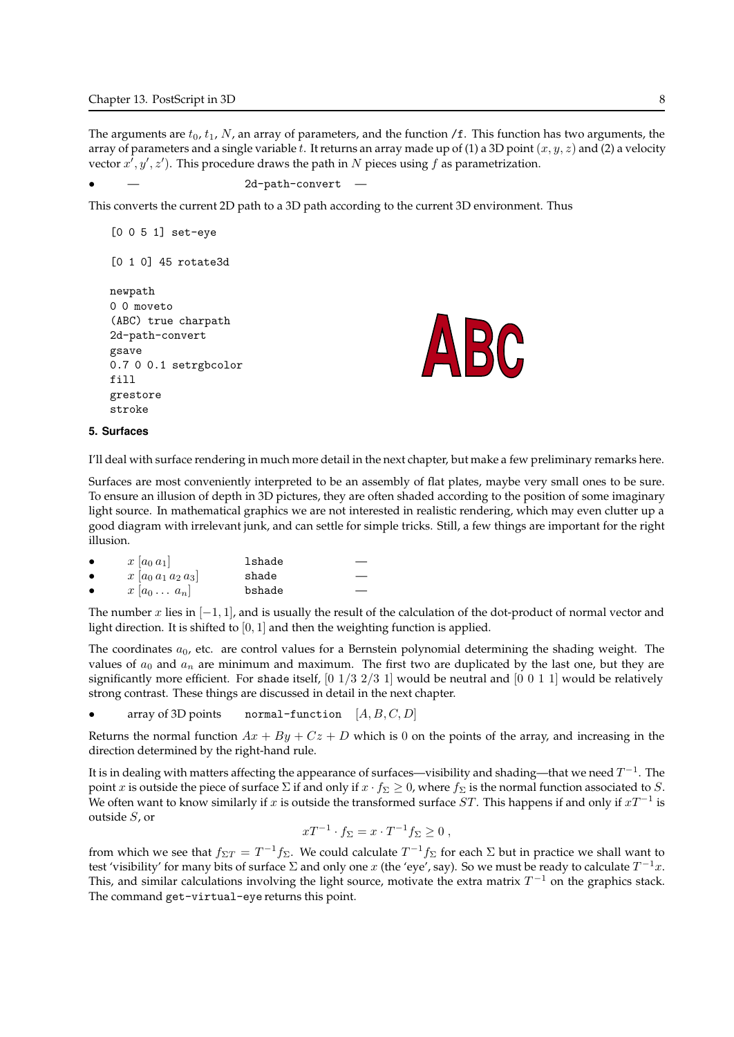The arguments are  $t_0$ ,  $t_1$ , N, an array of parameters, and the function /f. This function has two arguments, the array of parameters and a single variable t. It returns an array made up of (1) a 3D point  $(x, y, z)$  and (2) a velocity vector  $x^i, y', z'$ ). This procedure draws the path in N pieces using f as parametrization.

```
2d-path-convert
```
This converts the current 2D path to a 3D path according to the current 3D environment. Thus

```
[0 0 5 1] set-eye
[0 1 0] 45 rotate3d
newpath
0 0 moveto
(ABC) true charpath
2d-path-convert
gsave
0.7 0 0.1 setrgbcolor
fill
grestore
stroke
```


### 5. Surfaces

I'll deal with surface rendering in much more detail in the next chapter, but make a few preliminary remarks here.

Surfaces are most conveniently interpreted to be an assembly of flat plates, maybe very small ones to be sure. To ensure an illusion of depth in 3D pictures, they are often shaded according to the position of some imaginary light source. In mathematical graphics we are not interested in realistic rendering, which may even clutter up a good diagram with irrelevant junk, and can settle for simple tricks. Still, a few things are important for the right illusion.

|           | $x  a_0 a_1 $         | lshade |
|-----------|-----------------------|--------|
| $\bullet$ | $x [a_0 a_1 a_2 a_3]$ | shade  |
|           | $x [a_0 \ldots a_n]$  | bshade |

The number x lies in  $[-1, 1]$ , and is usually the result of the calculation of the dot-product of normal vector and light direction. It is shifted to  $[0, 1]$  and then the weighting function is applied.

The coordinates  $a_0$ , etc. are control values for a Bernstein polynomial determining the shading weight. The values of  $a_0$  and  $a_n$  are minimum and maximum. The first two are duplicated by the last one, but they are significantly more efficient. For shade itself,  $[0 \ 1/3 \ 2/3 \ 1]$  would be neutral and  $[0 \ 0 \ 1 \ 1]$  would be relatively strong contrast. These things are discussed in detail in the next chapter.

• array of 3D points normal-function  $[A, B, C, D]$ 

Returns the normal function  $Ax + By + Cz + D$  which is 0 on the points of the array, and increasing in the direction determined by the right-hand rule.

It is in dealing with matters affecting the appearance of surfaces—visibility and shading—that we need  $T^{-1}$ . The point x is outside the piece of surface  $\Sigma$  if and only if  $x \cdot f_\Sigma \geq 0$ , where  $f_\Sigma$  is the normal function associated to S. We often want to know similarly if  $x$  is outside the transformed surface  $ST$ . This happens if and only if  $xT^{-1}$  is outside S, or

$$
xT^{-1} \cdot f_{\Sigma} = x \cdot T^{-1} f_{\Sigma} \ge 0 ,
$$

from which we see that  $f_{\Sigma T}=T^{-1}f_\Sigma.$  We could calculate  $T^{-1}f_\Sigma$  for each  $\Sigma$  but in practice we shall want to test 'visibility' for many bits of surface  $\Sigma$  and only one x (the 'eye', say). So we must be ready to calculate  $T^{-1}x$ . This, and similar calculations involving the light source, motivate the extra matrix  $T^{-1}$  on the graphics stack. The command get-virtual-eye returns this point.